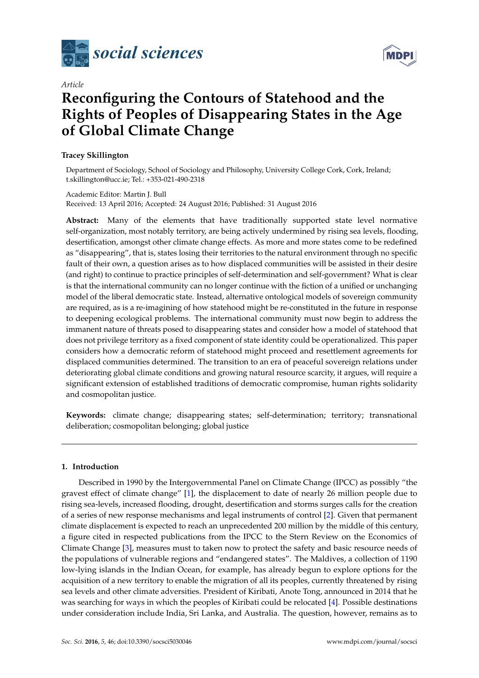



# *Article* **Reconfiguring the Contours of Statehood and the Rights of Peoples of Disappearing States in the Age of Global Climate Change**

## **Tracey Skillington**

Department of Sociology, School of Sociology and Philosophy, University College Cork, Cork, Ireland; t.skillington@ucc.ie; Tel.: +353-021-490-2318

Academic Editor: Martin J. Bull Received: 13 April 2016; Accepted: 24 August 2016; Published: 31 August 2016

**Abstract:** Many of the elements that have traditionally supported state level normative self-organization, most notably territory, are being actively undermined by rising sea levels, flooding, desertification, amongst other climate change effects. As more and more states come to be redefined as "disappearing", that is, states losing their territories to the natural environment through no specific fault of their own, a question arises as to how displaced communities will be assisted in their desire (and right) to continue to practice principles of self-determination and self-government? What is clear is that the international community can no longer continue with the fiction of a unified or unchanging model of the liberal democratic state. Instead, alternative ontological models of sovereign community are required, as is a re-imagining of how statehood might be re-constituted in the future in response to deepening ecological problems. The international community must now begin to address the immanent nature of threats posed to disappearing states and consider how a model of statehood that does not privilege territory as a fixed component of state identity could be operationalized. This paper considers how a democratic reform of statehood might proceed and resettlement agreements for displaced communities determined. The transition to an era of peaceful sovereign relations under deteriorating global climate conditions and growing natural resource scarcity, it argues, will require a significant extension of established traditions of democratic compromise, human rights solidarity and cosmopolitan justice.

**Keywords:** climate change; disappearing states; self-determination; territory; transnational deliberation; cosmopolitan belonging; global justice

## **1. Introduction**

Described in 1990 by the Intergovernmental Panel on Climate Change (IPCC) as possibly "the gravest effect of climate change" [\[1\]](#page-10-0), the displacement to date of nearly 26 million people due to rising sea-levels, increased flooding, drought, desertification and storms surges calls for the creation of a series of new response mechanisms and legal instruments of control [\[2\]](#page-10-1). Given that permanent climate displacement is expected to reach an unprecedented 200 million by the middle of this century, a figure cited in respected publications from the IPCC to the Stern Review on the Economics of Climate Change [\[3\]](#page-10-2), measures must to taken now to protect the safety and basic resource needs of the populations of vulnerable regions and "endangered states". The Maldives, a collection of 1190 low-lying islands in the Indian Ocean, for example, has already begun to explore options for the acquisition of a new territory to enable the migration of all its peoples, currently threatened by rising sea levels and other climate adversities. President of Kiribati, Anote Tong, announced in 2014 that he was searching for ways in which the peoples of Kiribati could be relocated [\[4\]](#page-10-3). Possible destinations under consideration include India, Sri Lanka, and Australia. The question, however, remains as to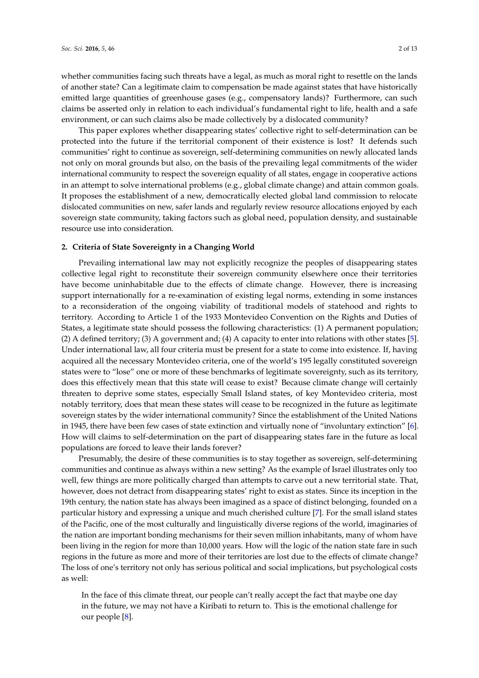whether communities facing such threats have a legal, as much as moral right to resettle on the lands of another state? Can a legitimate claim to compensation be made against states that have historically emitted large quantities of greenhouse gases (e.g., compensatory lands)? Furthermore, can such claims be asserted only in relation to each individual's fundamental right to life, health and a safe environment, or can such claims also be made collectively by a dislocated community?

This paper explores whether disappearing states' collective right to self-determination can be protected into the future if the territorial component of their existence is lost? It defends such communities' right to continue as sovereign, self-determining communities on newly allocated lands not only on moral grounds but also, on the basis of the prevailing legal commitments of the wider international community to respect the sovereign equality of all states, engage in cooperative actions in an attempt to solve international problems (e.g., global climate change) and attain common goals. It proposes the establishment of a new, democratically elected global land commission to relocate dislocated communities on new, safer lands and regularly review resource allocations enjoyed by each sovereign state community, taking factors such as global need, population density, and sustainable resource use into consideration.

# **2. Criteria of State Sovereignty in a Changing World**

Prevailing international law may not explicitly recognize the peoples of disappearing states collective legal right to reconstitute their sovereign community elsewhere once their territories have become uninhabitable due to the effects of climate change. However, there is increasing support internationally for a re-examination of existing legal norms, extending in some instances to a reconsideration of the ongoing viability of traditional models of statehood and rights to territory. According to Article 1 of the 1933 Montevideo Convention on the Rights and Duties of States, a legitimate state should possess the following characteristics: (1) A permanent population; (2) A defined territory; (3) A government and; (4) A capacity to enter into relations with other states [\[5\]](#page-11-0). Under international law, all four criteria must be present for a state to come into existence. If, having acquired all the necessary Montevideo criteria, one of the world's 195 legally constituted sovereign states were to "lose" one or more of these benchmarks of legitimate sovereignty, such as its territory, does this effectively mean that this state will cease to exist? Because climate change will certainly threaten to deprive some states, especially Small Island states, of key Montevideo criteria, most notably territory, does that mean these states will cease to be recognized in the future as legitimate sovereign states by the wider international community? Since the establishment of the United Nations in 1945, there have been few cases of state extinction and virtually none of "involuntary extinction" [\[6\]](#page-11-1). How will claims to self-determination on the part of disappearing states fare in the future as local populations are forced to leave their lands forever?

Presumably, the desire of these communities is to stay together as sovereign, self-determining communities and continue as always within a new setting? As the example of Israel illustrates only too well, few things are more politically charged than attempts to carve out a new territorial state. That, however, does not detract from disappearing states' right to exist as states. Since its inception in the 19th century, the nation state has always been imagined as a space of distinct belonging, founded on a particular history and expressing a unique and much cherished culture [\[7\]](#page-11-2). For the small island states of the Pacific, one of the most culturally and linguistically diverse regions of the world, imaginaries of the nation are important bonding mechanisms for their seven million inhabitants, many of whom have been living in the region for more than 10,000 years. How will the logic of the nation state fare in such regions in the future as more and more of their territories are lost due to the effects of climate change? The loss of one's territory not only has serious political and social implications, but psychological costs as well:

In the face of this climate threat, our people can't really accept the fact that maybe one day in the future, we may not have a Kiribati to return to. This is the emotional challenge for our people [\[8\]](#page-11-3).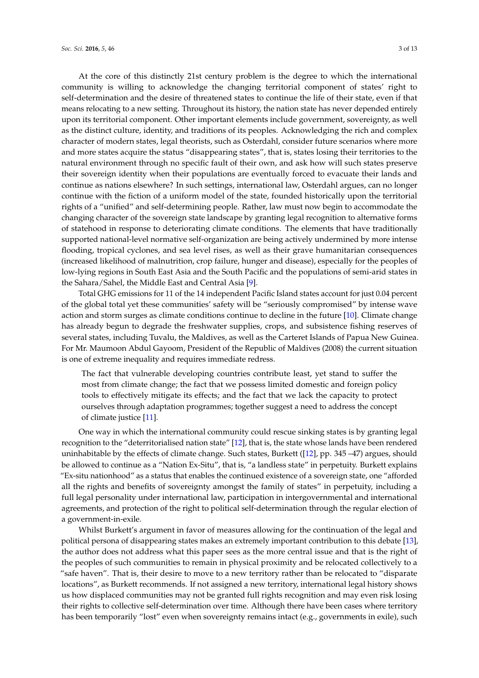At the core of this distinctly 21st century problem is the degree to which the international community is willing to acknowledge the changing territorial component of states' right to self-determination and the desire of threatened states to continue the life of their state, even if that means relocating to a new setting. Throughout its history, the nation state has never depended entirely upon its territorial component. Other important elements include government, sovereignty, as well as the distinct culture, identity, and traditions of its peoples. Acknowledging the rich and complex character of modern states, legal theorists, such as Osterdahl, consider future scenarios where more and more states acquire the status "disappearing states", that is, states losing their territories to the natural environment through no specific fault of their own, and ask how will such states preserve their sovereign identity when their populations are eventually forced to evacuate their lands and continue as nations elsewhere? In such settings, international law, Osterdahl argues, can no longer continue with the fiction of a uniform model of the state, founded historically upon the territorial rights of a "unified" and self-determining people. Rather, law must now begin to accommodate the changing character of the sovereign state landscape by granting legal recognition to alternative forms of statehood in response to deteriorating climate conditions. The elements that have traditionally supported national-level normative self-organization are being actively undermined by more intense flooding, tropical cyclones, and sea level rises, as well as their grave humanitarian consequences (increased likelihood of malnutrition, crop failure, hunger and disease), especially for the peoples of low-lying regions in South East Asia and the South Pacific and the populations of semi-arid states in the Sahara/Sahel, the Middle East and Central Asia [\[9\]](#page-11-4).

Total GHG emissions for 11 of the 14 independent Pacific Island states account for just 0.04 percent of the global total yet these communities' safety will be "seriously compromised" by intense wave action and storm surges as climate conditions continue to decline in the future [\[10\]](#page-11-5). Climate change has already begun to degrade the freshwater supplies, crops, and subsistence fishing reserves of several states, including Tuvalu, the Maldives, as well as the Carteret Islands of Papua New Guinea. For Mr. Maumoon Abdul Gayoom, President of the Republic of Maldives (2008) the current situation is one of extreme inequality and requires immediate redress.

The fact that vulnerable developing countries contribute least, yet stand to suffer the most from climate change; the fact that we possess limited domestic and foreign policy tools to effectively mitigate its effects; and the fact that we lack the capacity to protect ourselves through adaptation programmes; together suggest a need to address the concept of climate justice [\[11\]](#page-11-6).

One way in which the international community could rescue sinking states is by granting legal recognition to the "deterritorialised nation state" [\[12\]](#page-11-7), that is, the state whose lands have been rendered uninhabitable by the effects of climate change. Such states, Burkett ([\[12\]](#page-11-7), pp. 345 –47) argues, should be allowed to continue as a "Nation Ex-Situ", that is, "a landless state" in perpetuity. Burkett explains "Ex-situ nationhood" as a status that enables the continued existence of a sovereign state, one "afforded all the rights and benefits of sovereignty amongst the family of states" in perpetuity, including a full legal personality under international law, participation in intergovernmental and international agreements, and protection of the right to political self-determination through the regular election of a government-in-exile.

Whilst Burkett's argument in favor of measures allowing for the continuation of the legal and political persona of disappearing states makes an extremely important contribution to this debate [\[13\]](#page-11-8), the author does not address what this paper sees as the more central issue and that is the right of the peoples of such communities to remain in physical proximity and be relocated collectively to a "safe haven". That is, their desire to move to a new territory rather than be relocated to "disparate locations", as Burkett recommends. If not assigned a new territory, international legal history shows us how displaced communities may not be granted full rights recognition and may even risk losing their rights to collective self-determination over time. Although there have been cases where territory has been temporarily "lost" even when sovereignty remains intact (e.g., governments in exile), such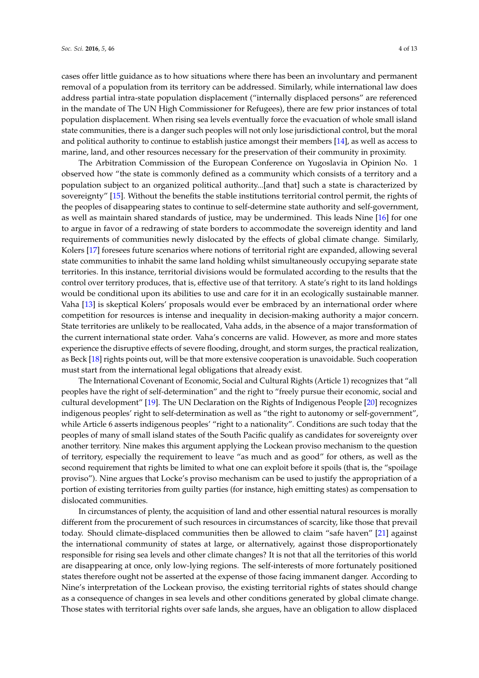cases offer little guidance as to how situations where there has been an involuntary and permanent removal of a population from its territory can be addressed. Similarly, while international law does address partial intra-state population displacement ("internally displaced persons" are referenced in the mandate of The UN High Commissioner for Refugees), there are few prior instances of total population displacement. When rising sea levels eventually force the evacuation of whole small island state communities, there is a danger such peoples will not only lose jurisdictional control, but the moral and political authority to continue to establish justice amongst their members [\[14\]](#page-11-9), as well as access to marine, land, and other resources necessary for the preservation of their community in proximity.

The Arbitration Commission of the European Conference on Yugoslavia in Opinion No. 1 observed how "the state is commonly defined as a community which consists of a territory and a population subject to an organized political authority...[and that] such a state is characterized by sovereignty" [\[15\]](#page-11-10). Without the benefits the stable institutions territorial control permit, the rights of the peoples of disappearing states to continue to self-determine state authority and self-government, as well as maintain shared standards of justice, may be undermined. This leads Nine [\[16\]](#page-11-11) for one to argue in favor of a redrawing of state borders to accommodate the sovereign identity and land requirements of communities newly dislocated by the effects of global climate change. Similarly, Kolers [\[17\]](#page-11-12) foresees future scenarios where notions of territorial right are expanded, allowing several state communities to inhabit the same land holding whilst simultaneously occupying separate state territories. In this instance, territorial divisions would be formulated according to the results that the control over territory produces, that is, effective use of that territory. A state's right to its land holdings would be conditional upon its abilities to use and care for it in an ecologically sustainable manner. Vaha [\[13\]](#page-11-8) is skeptical Kolers' proposals would ever be embraced by an international order where competition for resources is intense and inequality in decision-making authority a major concern. State territories are unlikely to be reallocated, Vaha adds, in the absence of a major transformation of the current international state order. Vaha's concerns are valid. However, as more and more states experience the disruptive effects of severe flooding, drought, and storm surges, the practical realization, as Beck [\[18\]](#page-11-13) rights points out, will be that more extensive cooperation is unavoidable. Such cooperation must start from the international legal obligations that already exist.

The International Covenant of Economic, Social and Cultural Rights (Article 1) recognizes that "all peoples have the right of self-determination" and the right to "freely pursue their economic, social and cultural development" [\[19\]](#page-11-14). The UN Declaration on the Rights of Indigenous People [\[20\]](#page-11-15) recognizes indigenous peoples' right to self-determination as well as "the right to autonomy or self-government", while Article 6 asserts indigenous peoples' "right to a nationality". Conditions are such today that the peoples of many of small island states of the South Pacific qualify as candidates for sovereignty over another territory. Nine makes this argument applying the Lockean proviso mechanism to the question of territory, especially the requirement to leave "as much and as good" for others, as well as the second requirement that rights be limited to what one can exploit before it spoils (that is, the "spoilage proviso"). Nine argues that Locke's proviso mechanism can be used to justify the appropriation of a portion of existing territories from guilty parties (for instance, high emitting states) as compensation to dislocated communities.

In circumstances of plenty, the acquisition of land and other essential natural resources is morally different from the procurement of such resources in circumstances of scarcity, like those that prevail today. Should climate-displaced communities then be allowed to claim "safe haven" [\[21\]](#page-11-16) against the international community of states at large, or alternatively, against those disproportionately responsible for rising sea levels and other climate changes? It is not that all the territories of this world are disappearing at once, only low-lying regions. The self-interests of more fortunately positioned states therefore ought not be asserted at the expense of those facing immanent danger. According to Nine's interpretation of the Lockean proviso, the existing territorial rights of states should change as a consequence of changes in sea levels and other conditions generated by global climate change. Those states with territorial rights over safe lands, she argues, have an obligation to allow displaced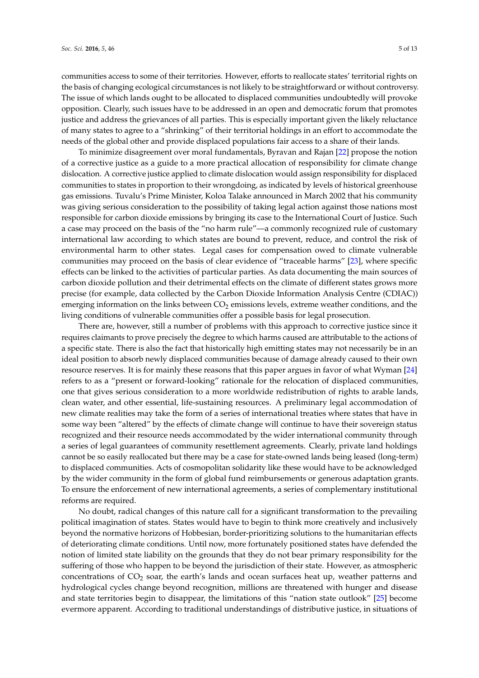communities access to some of their territories. However, efforts to reallocate states' territorial rights on

the basis of changing ecological circumstances is not likely to be straightforward or without controversy. The issue of which lands ought to be allocated to displaced communities undoubtedly will provoke opposition. Clearly, such issues have to be addressed in an open and democratic forum that promotes justice and address the grievances of all parties. This is especially important given the likely reluctance of many states to agree to a "shrinking" of their territorial holdings in an effort to accommodate the needs of the global other and provide displaced populations fair access to a share of their lands.

To minimize disagreement over moral fundamentals, Byravan and Rajan [\[22\]](#page-11-17) propose the notion of a corrective justice as a guide to a more practical allocation of responsibility for climate change dislocation. A corrective justice applied to climate dislocation would assign responsibility for displaced communities to states in proportion to their wrongdoing, as indicated by levels of historical greenhouse gas emissions. Tuvalu's Prime Minister, Koloa Talake announced in March 2002 that his community was giving serious consideration to the possibility of taking legal action against those nations most responsible for carbon dioxide emissions by bringing its case to the International Court of Justice. Such a case may proceed on the basis of the "no harm rule"—a commonly recognized rule of customary international law according to which states are bound to prevent, reduce, and control the risk of environmental harm to other states. Legal cases for compensation owed to climate vulnerable communities may proceed on the basis of clear evidence of "traceable harms" [\[23\]](#page-11-18), where specific effects can be linked to the activities of particular parties. As data documenting the main sources of carbon dioxide pollution and their detrimental effects on the climate of different states grows more precise (for example, data collected by the Carbon Dioxide Information Analysis Centre (CDIAC)) emerging information on the links between  $CO<sub>2</sub>$  emissions levels, extreme weather conditions, and the living conditions of vulnerable communities offer a possible basis for legal prosecution.

There are, however, still a number of problems with this approach to corrective justice since it requires claimants to prove precisely the degree to which harms caused are attributable to the actions of a specific state. There is also the fact that historically high emitting states may not necessarily be in an ideal position to absorb newly displaced communities because of damage already caused to their own resource reserves. It is for mainly these reasons that this paper argues in favor of what Wyman [\[24\]](#page-11-19) refers to as a "present or forward-looking" rationale for the relocation of displaced communities, one that gives serious consideration to a more worldwide redistribution of rights to arable lands, clean water, and other essential, life-sustaining resources. A preliminary legal accommodation of new climate realities may take the form of a series of international treaties where states that have in some way been "altered" by the effects of climate change will continue to have their sovereign status recognized and their resource needs accommodated by the wider international community through a series of legal guarantees of community resettlement agreements. Clearly, private land holdings cannot be so easily reallocated but there may be a case for state-owned lands being leased (long-term) to displaced communities. Acts of cosmopolitan solidarity like these would have to be acknowledged by the wider community in the form of global fund reimbursements or generous adaptation grants. To ensure the enforcement of new international agreements, a series of complementary institutional reforms are required.

No doubt, radical changes of this nature call for a significant transformation to the prevailing political imagination of states. States would have to begin to think more creatively and inclusively beyond the normative horizons of Hobbesian, border-prioritizing solutions to the humanitarian effects of deteriorating climate conditions. Until now, more fortunately positioned states have defended the notion of limited state liability on the grounds that they do not bear primary responsibility for the suffering of those who happen to be beyond the jurisdiction of their state. However, as atmospheric concentrations of  $CO<sub>2</sub>$  soar, the earth's lands and ocean surfaces heat up, weather patterns and hydrological cycles change beyond recognition, millions are threatened with hunger and disease and state territories begin to disappear, the limitations of this "nation state outlook" [\[25\]](#page-11-20) become evermore apparent. According to traditional understandings of distributive justice, in situations of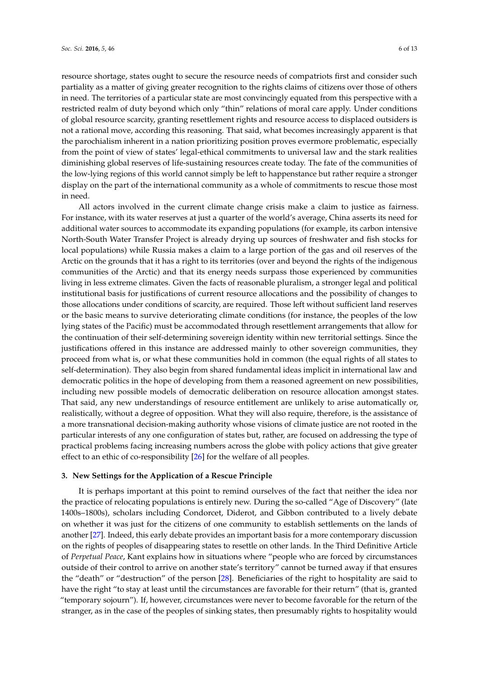resource shortage, states ought to secure the resource needs of compatriots first and consider such partiality as a matter of giving greater recognition to the rights claims of citizens over those of others in need. The territories of a particular state are most convincingly equated from this perspective with a restricted realm of duty beyond which only "thin" relations of moral care apply. Under conditions of global resource scarcity, granting resettlement rights and resource access to displaced outsiders is not a rational move, according this reasoning. That said, what becomes increasingly apparent is that the parochialism inherent in a nation prioritizing position proves evermore problematic, especially from the point of view of states' legal-ethical commitments to universal law and the stark realities diminishing global reserves of life-sustaining resources create today. The fate of the communities of the low-lying regions of this world cannot simply be left to happenstance but rather require a stronger display on the part of the international community as a whole of commitments to rescue those most in need.

All actors involved in the current climate change crisis make a claim to justice as fairness. For instance, with its water reserves at just a quarter of the world's average, China asserts its need for additional water sources to accommodate its expanding populations (for example, its carbon intensive North-South Water Transfer Project is already drying up sources of freshwater and fish stocks for local populations) while Russia makes a claim to a large portion of the gas and oil reserves of the Arctic on the grounds that it has a right to its territories (over and beyond the rights of the indigenous communities of the Arctic) and that its energy needs surpass those experienced by communities living in less extreme climates. Given the facts of reasonable pluralism, a stronger legal and political institutional basis for justifications of current resource allocations and the possibility of changes to those allocations under conditions of scarcity, are required. Those left without sufficient land reserves or the basic means to survive deteriorating climate conditions (for instance, the peoples of the low lying states of the Pacific) must be accommodated through resettlement arrangements that allow for the continuation of their self-determining sovereign identity within new territorial settings. Since the justifications offered in this instance are addressed mainly to other sovereign communities, they proceed from what is, or what these communities hold in common (the equal rights of all states to self-determination). They also begin from shared fundamental ideas implicit in international law and democratic politics in the hope of developing from them a reasoned agreement on new possibilities, including new possible models of democratic deliberation on resource allocation amongst states. That said, any new understandings of resource entitlement are unlikely to arise automatically or, realistically, without a degree of opposition. What they will also require, therefore, is the assistance of a more transnational decision-making authority whose visions of climate justice are not rooted in the particular interests of any one configuration of states but, rather, are focused on addressing the type of practical problems facing increasing numbers across the globe with policy actions that give greater effect to an ethic of co-responsibility [\[26\]](#page-11-21) for the welfare of all peoples.

#### **3. New Settings for the Application of a Rescue Principle**

It is perhaps important at this point to remind ourselves of the fact that neither the idea nor the practice of relocating populations is entirely new. During the so-called "Age of Discovery" (late 1400s–1800s), scholars including Condorcet, Diderot, and Gibbon contributed to a lively debate on whether it was just for the citizens of one community to establish settlements on the lands of another [\[27\]](#page-12-0). Indeed, this early debate provides an important basis for a more contemporary discussion on the rights of peoples of disappearing states to resettle on other lands. In the Third Definitive Article of *Perpetual Peace*, Kant explains how in situations where "people who are forced by circumstances outside of their control to arrive on another state's territory" cannot be turned away if that ensures the "death" or "destruction" of the person [\[28\]](#page-12-1). Beneficiaries of the right to hospitality are said to have the right "to stay at least until the circumstances are favorable for their return" (that is, granted "temporary sojourn"). If, however, circumstances were never to become favorable for the return of the stranger, as in the case of the peoples of sinking states, then presumably rights to hospitality would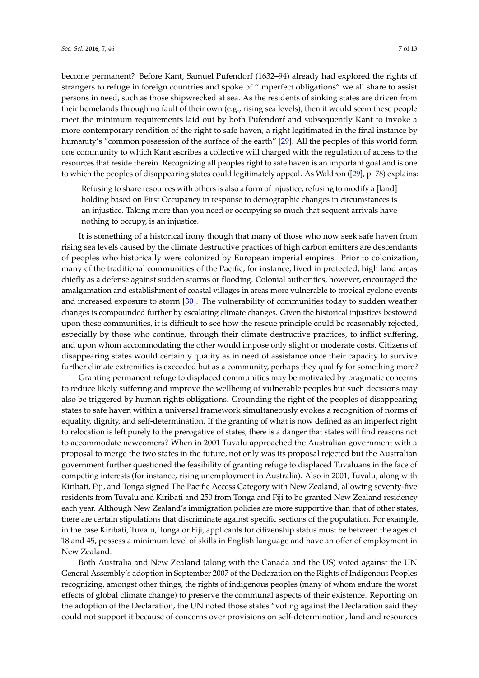become permanent? Before Kant, Samuel Pufendorf (1632–94) already had explored the rights of strangers to refuge in foreign countries and spoke of "imperfect obligations" we all share to assist persons in need, such as those shipwrecked at sea. As the residents of sinking states are driven from their homelands through no fault of their own (e.g., rising sea levels), then it would seem these people meet the minimum requirements laid out by both Pufendorf and subsequently Kant to invoke a more contemporary rendition of the right to safe haven, a right legitimated in the final instance by humanity's "common possession of the surface of the earth" [\[29\]](#page-12-2). All the peoples of this world form one community to which Kant ascribes a collective will charged with the regulation of access to the resources that reside therein. Recognizing all peoples right to safe haven is an important goal and is one to which the peoples of disappearing states could legitimately appeal. As Waldron ([\[29\]](#page-12-2), p. 78) explains:

Refusing to share resources with others is also a form of injustice; refusing to modify a [land] holding based on First Occupancy in response to demographic changes in circumstances is an injustice. Taking more than you need or occupying so much that sequent arrivals have nothing to occupy, is an injustice.

It is something of a historical irony though that many of those who now seek safe haven from rising sea levels caused by the climate destructive practices of high carbon emitters are descendants of peoples who historically were colonized by European imperial empires. Prior to colonization, many of the traditional communities of the Pacific, for instance, lived in protected, high land areas chiefly as a defense against sudden storms or flooding. Colonial authorities, however, encouraged the amalgamation and establishment of coastal villages in areas more vulnerable to tropical cyclone events and increased exposure to storm [\[30\]](#page-12-3). The vulnerability of communities today to sudden weather changes is compounded further by escalating climate changes. Given the historical injustices bestowed upon these communities, it is difficult to see how the rescue principle could be reasonably rejected, especially by those who continue, through their climate destructive practices, to inflict suffering, and upon whom accommodating the other would impose only slight or moderate costs. Citizens of disappearing states would certainly qualify as in need of assistance once their capacity to survive further climate extremities is exceeded but as a community, perhaps they qualify for something more?

Granting permanent refuge to displaced communities may be motivated by pragmatic concerns to reduce likely suffering and improve the wellbeing of vulnerable peoples but such decisions may also be triggered by human rights obligations. Grounding the right of the peoples of disappearing states to safe haven within a universal framework simultaneously evokes a recognition of norms of equality, dignity, and self-determination. If the granting of what is now defined as an imperfect right to relocation is left purely to the prerogative of states, there is a danger that states will find reasons not to accommodate newcomers? When in 2001 Tuvalu approached the Australian government with a proposal to merge the two states in the future, not only was its proposal rejected but the Australian government further questioned the feasibility of granting refuge to displaced Tuvaluans in the face of competing interests (for instance, rising unemployment in Australia). Also in 2001, Tuvalu, along with Kiribati, Fiji, and Tonga signed The Pacific Access Category with New Zealand, allowing seventy-five residents from Tuvalu and Kiribati and 250 from Tonga and Fiji to be granted New Zealand residency each year. Although New Zealand's immigration policies are more supportive than that of other states, there are certain stipulations that discriminate against specific sections of the population. For example, in the case Kiribati, Tuvalu, Tonga or Fiji, applicants for citizenship status must be between the ages of 18 and 45, possess a minimum level of skills in English language and have an offer of employment in New Zealand.

Both Australia and New Zealand (along with the Canada and the US) voted against the UN General Assembly's adoption in September 2007 of the Declaration on the Rights of Indigenous Peoples recognizing, amongst other things, the rights of indigenous peoples (many of whom endure the worst effects of global climate change) to preserve the communal aspects of their existence. Reporting on the adoption of the Declaration, the UN noted those states "voting against the Declaration said they could not support it because of concerns over provisions on self-determination, land and resources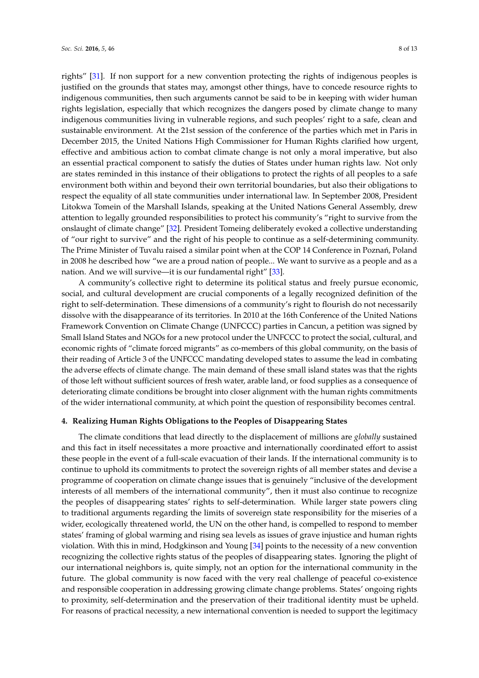rights" [\[31\]](#page-12-4). If non support for a new convention protecting the rights of indigenous peoples is justified on the grounds that states may, amongst other things, have to concede resource rights to indigenous communities, then such arguments cannot be said to be in keeping with wider human rights legislation, especially that which recognizes the dangers posed by climate change to many indigenous communities living in vulnerable regions, and such peoples' right to a safe, clean and sustainable environment. At the 21st session of the conference of the parties which met in Paris in December 2015, the United Nations High Commissioner for Human Rights clarified how urgent, effective and ambitious action to combat climate change is not only a moral imperative, but also an essential practical component to satisfy the duties of States under human rights law. Not only are states reminded in this instance of their obligations to protect the rights of all peoples to a safe environment both within and beyond their own territorial boundaries, but also their obligations to respect the equality of all state communities under international law. In September 2008, President Litokwa Tomein of the Marshall Islands, speaking at the United Nations General Assembly, drew attention to legally grounded responsibilities to protect his community's "right to survive from the onslaught of climate change" [\[32\]](#page-12-5). President Tomeing deliberately evoked a collective understanding of "our right to survive" and the right of his people to continue as a self-determining community. The Prime Minister of Tuvalu raised a similar point when at the COP 14 Conference in Poznań, Poland in 2008 he described how "we are a proud nation of people... We want to survive as a people and as a nation. And we will survive—it is our fundamental right" [\[33\]](#page-12-6).

A community's collective right to determine its political status and freely pursue economic, social, and cultural development are crucial components of a legally recognized definition of the right to self-determination. These dimensions of a community's right to flourish do not necessarily dissolve with the disappearance of its territories. In 2010 at the 16th Conference of the United Nations Framework Convention on Climate Change (UNFCCC) parties in Cancun, a petition was signed by Small Island States and NGOs for a new protocol under the UNFCCC to protect the social, cultural, and economic rights of "climate forced migrants" as co-members of this global community, on the basis of their reading of Article 3 of the UNFCCC mandating developed states to assume the lead in combating the adverse effects of climate change. The main demand of these small island states was that the rights of those left without sufficient sources of fresh water, arable land, or food supplies as a consequence of deteriorating climate conditions be brought into closer alignment with the human rights commitments of the wider international community, at which point the question of responsibility becomes central.

#### **4. Realizing Human Rights Obligations to the Peoples of Disappearing States**

The climate conditions that lead directly to the displacement of millions are *globally* sustained and this fact in itself necessitates a more proactive and internationally coordinated effort to assist these people in the event of a full-scale evacuation of their lands. If the international community is to continue to uphold its commitments to protect the sovereign rights of all member states and devise a programme of cooperation on climate change issues that is genuinely "inclusive of the development interests of all members of the international community", then it must also continue to recognize the peoples of disappearing states' rights to self-determination. While larger state powers cling to traditional arguments regarding the limits of sovereign state responsibility for the miseries of a wider, ecologically threatened world, the UN on the other hand, is compelled to respond to member states' framing of global warming and rising sea levels as issues of grave injustice and human rights violation. With this in mind, Hodgkinson and Young [\[34\]](#page-12-7) points to the necessity of a new convention recognizing the collective rights status of the peoples of disappearing states. Ignoring the plight of our international neighbors is, quite simply, not an option for the international community in the future. The global community is now faced with the very real challenge of peaceful co-existence and responsible cooperation in addressing growing climate change problems. States' ongoing rights to proximity, self-determination and the preservation of their traditional identity must be upheld. For reasons of practical necessity, a new international convention is needed to support the legitimacy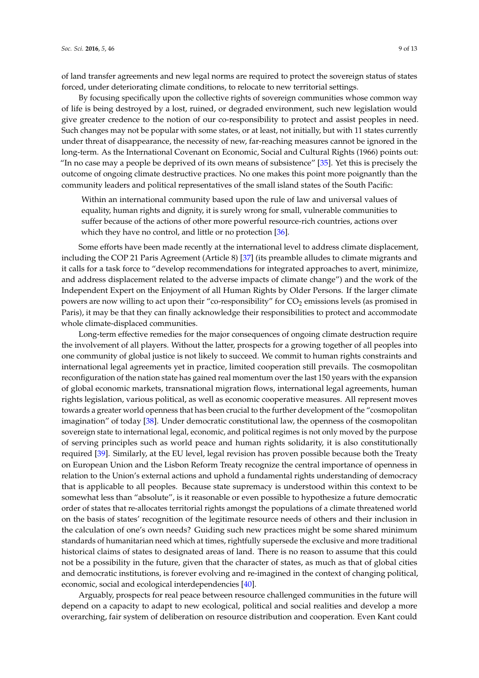of land transfer agreements and new legal norms are required to protect the sovereign status of states forced, under deteriorating climate conditions, to relocate to new territorial settings.

By focusing specifically upon the collective rights of sovereign communities whose common way of life is being destroyed by a lost, ruined, or degraded environment, such new legislation would give greater credence to the notion of our co-responsibility to protect and assist peoples in need. Such changes may not be popular with some states, or at least, not initially, but with 11 states currently under threat of disappearance, the necessity of new, far-reaching measures cannot be ignored in the long-term. As the International Covenant on Economic, Social and Cultural Rights (1966) points out: "In no case may a people be deprived of its own means of subsistence"  $[35]$ . Yet this is precisely the outcome of ongoing climate destructive practices. No one makes this point more poignantly than the community leaders and political representatives of the small island states of the South Pacific:

Within an international community based upon the rule of law and universal values of equality, human rights and dignity, it is surely wrong for small, vulnerable communities to suffer because of the actions of other more powerful resource-rich countries, actions over which they have no control, and little or no protection [\[36\]](#page-12-9).

Some efforts have been made recently at the international level to address climate displacement, including the COP 21 Paris Agreement (Article 8) [\[37\]](#page-12-10) (its preamble alludes to climate migrants and it calls for a task force to "develop recommendations for integrated approaches to avert, minimize, and address displacement related to the adverse impacts of climate change") and the work of the Independent Expert on the Enjoyment of all Human Rights by Older Persons. If the larger climate powers are now willing to act upon their "co-responsibility" for CO<sub>2</sub> emissions levels (as promised in Paris), it may be that they can finally acknowledge their responsibilities to protect and accommodate whole climate-displaced communities.

Long-term effective remedies for the major consequences of ongoing climate destruction require the involvement of all players. Without the latter, prospects for a growing together of all peoples into one community of global justice is not likely to succeed. We commit to human rights constraints and international legal agreements yet in practice, limited cooperation still prevails. The cosmopolitan reconfiguration of the nation state has gained real momentum over the last 150 years with the expansion of global economic markets, transnational migration flows, international legal agreements, human rights legislation, various political, as well as economic cooperative measures. All represent moves towards a greater world openness that has been crucial to the further development of the "cosmopolitan imagination" of today [\[38\]](#page-12-11). Under democratic constitutional law, the openness of the cosmopolitan sovereign state to international legal, economic, and political regimes is not only moved by the purpose of serving principles such as world peace and human rights solidarity, it is also constitutionally required [\[39\]](#page-12-12). Similarly, at the EU level, legal revision has proven possible because both the Treaty on European Union and the Lisbon Reform Treaty recognize the central importance of openness in relation to the Union's external actions and uphold a fundamental rights understanding of democracy that is applicable to all peoples. Because state supremacy is understood within this context to be somewhat less than "absolute", is it reasonable or even possible to hypothesize a future democratic order of states that re-allocates territorial rights amongst the populations of a climate threatened world on the basis of states' recognition of the legitimate resource needs of others and their inclusion in the calculation of one's own needs? Guiding such new practices might be some shared minimum standards of humanitarian need which at times, rightfully supersede the exclusive and more traditional historical claims of states to designated areas of land. There is no reason to assume that this could not be a possibility in the future, given that the character of states, as much as that of global cities and democratic institutions, is forever evolving and re-imagined in the context of changing political, economic, social and ecological interdependencies [\[40\]](#page-12-13).

Arguably, prospects for real peace between resource challenged communities in the future will depend on a capacity to adapt to new ecological, political and social realities and develop a more overarching, fair system of deliberation on resource distribution and cooperation. Even Kant could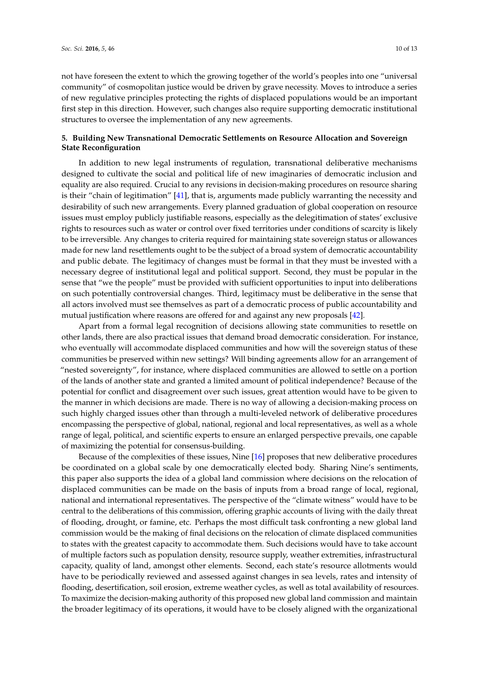not have foreseen the extent to which the growing together of the world's peoples into one "universal community" of cosmopolitan justice would be driven by grave necessity. Moves to introduce a series of new regulative principles protecting the rights of displaced populations would be an important first step in this direction. However, such changes also require supporting democratic institutional structures to oversee the implementation of any new agreements.

## **5. Building New Transnational Democratic Settlements on Resource Allocation and Sovereign State Reconfiguration**

In addition to new legal instruments of regulation, transnational deliberative mechanisms designed to cultivate the social and political life of new imaginaries of democratic inclusion and equality are also required. Crucial to any revisions in decision-making procedures on resource sharing is their "chain of legitimation" [\[41\]](#page-12-14), that is, arguments made publicly warranting the necessity and desirability of such new arrangements. Every planned graduation of global cooperation on resource issues must employ publicly justifiable reasons, especially as the delegitimation of states' exclusive rights to resources such as water or control over fixed territories under conditions of scarcity is likely to be irreversible. Any changes to criteria required for maintaining state sovereign status or allowances made for new land resettlements ought to be the subject of a broad system of democratic accountability and public debate. The legitimacy of changes must be formal in that they must be invested with a necessary degree of institutional legal and political support. Second, they must be popular in the sense that "we the people" must be provided with sufficient opportunities to input into deliberations on such potentially controversial changes. Third, legitimacy must be deliberative in the sense that all actors involved must see themselves as part of a democratic process of public accountability and mutual justification where reasons are offered for and against any new proposals [\[42\]](#page-12-15).

Apart from a formal legal recognition of decisions allowing state communities to resettle on other lands, there are also practical issues that demand broad democratic consideration. For instance, who eventually will accommodate displaced communities and how will the sovereign status of these communities be preserved within new settings? Will binding agreements allow for an arrangement of "nested sovereignty", for instance, where displaced communities are allowed to settle on a portion of the lands of another state and granted a limited amount of political independence? Because of the potential for conflict and disagreement over such issues, great attention would have to be given to the manner in which decisions are made. There is no way of allowing a decision-making process on such highly charged issues other than through a multi-leveled network of deliberative procedures encompassing the perspective of global, national, regional and local representatives, as well as a whole range of legal, political, and scientific experts to ensure an enlarged perspective prevails, one capable of maximizing the potential for consensus-building.

Because of the complexities of these issues, Nine [\[16\]](#page-11-11) proposes that new deliberative procedures be coordinated on a global scale by one democratically elected body. Sharing Nine's sentiments, this paper also supports the idea of a global land commission where decisions on the relocation of displaced communities can be made on the basis of inputs from a broad range of local, regional, national and international representatives. The perspective of the "climate witness" would have to be central to the deliberations of this commission, offering graphic accounts of living with the daily threat of flooding, drought, or famine, etc. Perhaps the most difficult task confronting a new global land commission would be the making of final decisions on the relocation of climate displaced communities to states with the greatest capacity to accommodate them. Such decisions would have to take account of multiple factors such as population density, resource supply, weather extremities, infrastructural capacity, quality of land, amongst other elements. Second, each state's resource allotments would have to be periodically reviewed and assessed against changes in sea levels, rates and intensity of flooding, desertification, soil erosion, extreme weather cycles, as well as total availability of resources. To maximize the decision-making authority of this proposed new global land commission and maintain the broader legitimacy of its operations, it would have to be closely aligned with the organizational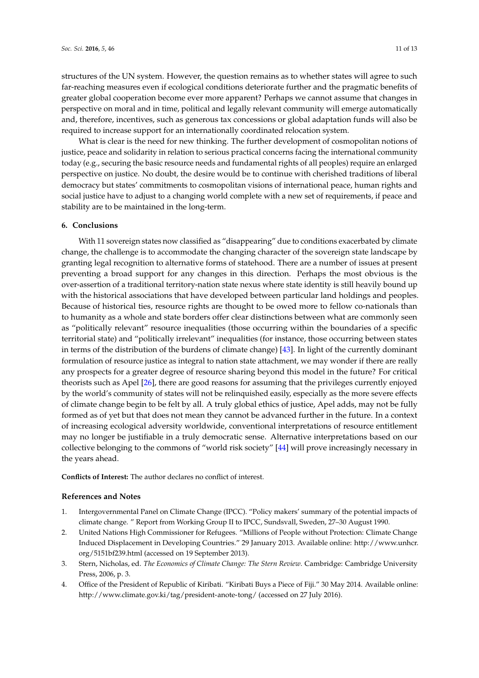structures of the UN system. However, the question remains as to whether states will agree to such far-reaching measures even if ecological conditions deteriorate further and the pragmatic benefits of greater global cooperation become ever more apparent? Perhaps we cannot assume that changes in perspective on moral and in time, political and legally relevant community will emerge automatically and, therefore, incentives, such as generous tax concessions or global adaptation funds will also be required to increase support for an internationally coordinated relocation system.

What is clear is the need for new thinking. The further development of cosmopolitan notions of justice, peace and solidarity in relation to serious practical concerns facing the international community today (e.g., securing the basic resource needs and fundamental rights of all peoples) require an enlarged perspective on justice. No doubt, the desire would be to continue with cherished traditions of liberal democracy but states' commitments to cosmopolitan visions of international peace, human rights and social justice have to adjust to a changing world complete with a new set of requirements, if peace and stability are to be maintained in the long-term.

#### **6. Conclusions**

With 11 sovereign states now classified as "disappearing" due to conditions exacerbated by climate change, the challenge is to accommodate the changing character of the sovereign state landscape by granting legal recognition to alternative forms of statehood. There are a number of issues at present preventing a broad support for any changes in this direction. Perhaps the most obvious is the over-assertion of a traditional territory-nation state nexus where state identity is still heavily bound up with the historical associations that have developed between particular land holdings and peoples. Because of historical ties, resource rights are thought to be owed more to fellow co-nationals than to humanity as a whole and state borders offer clear distinctions between what are commonly seen as "politically relevant" resource inequalities (those occurring within the boundaries of a specific territorial state) and "politically irrelevant" inequalities (for instance, those occurring between states in terms of the distribution of the burdens of climate change) [\[43\]](#page-12-16). In light of the currently dominant formulation of resource justice as integral to nation state attachment, we may wonder if there are really any prospects for a greater degree of resource sharing beyond this model in the future? For critical theorists such as Apel [\[26\]](#page-11-21), there are good reasons for assuming that the privileges currently enjoyed by the world's community of states will not be relinquished easily, especially as the more severe effects of climate change begin to be felt by all. A truly global ethics of justice, Apel adds, may not be fully formed as of yet but that does not mean they cannot be advanced further in the future. In a context of increasing ecological adversity worldwide, conventional interpretations of resource entitlement may no longer be justifiable in a truly democratic sense. Alternative interpretations based on our collective belonging to the commons of "world risk society" [\[44\]](#page-12-17) will prove increasingly necessary in the years ahead.

**Conflicts of Interest:** The author declares no conflict of interest.

#### **References and Notes**

- <span id="page-10-0"></span>1. Intergovernmental Panel on Climate Change (IPCC). "Policy makers' summary of the potential impacts of climate change. " Report from Working Group II to IPCC, Sundsvall, Sweden, 27–30 August 1990.
- <span id="page-10-1"></span>2. United Nations High Commissioner for Refugees. "Millions of People without Protection: Climate Change Induced Displacement in Developing Countries." 29 January 2013. Available online: [http://www.unhcr.](http://www.unhcr.org/5151bf239.html) [org/5151bf239.html](http://www.unhcr.org/5151bf239.html) (accessed on 19 September 2013).
- <span id="page-10-2"></span>3. Stern, Nicholas, ed. *The Economics of Climate Change: The Stern Review*. Cambridge: Cambridge University Press, 2006, p. 3.
- <span id="page-10-3"></span>4. Office of the President of Republic of Kiribati. "Kiribati Buys a Piece of Fiji." 30 May 2014. Available online: <http://www.climate.gov.ki/tag/president-anote-tong/> (accessed on 27 July 2016).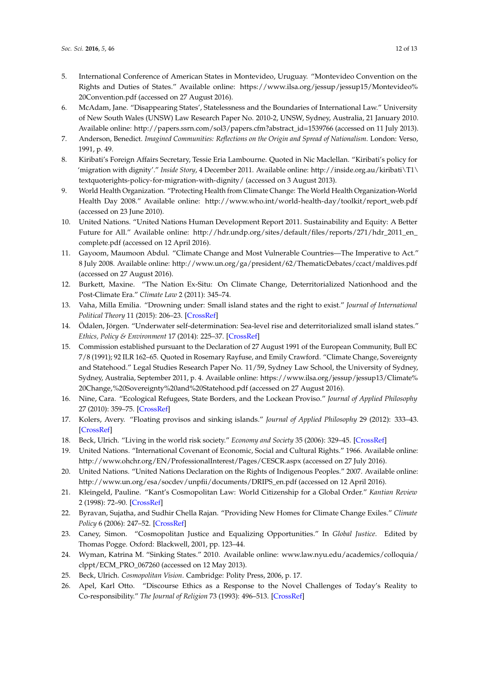- <span id="page-11-0"></span>5. International Conference of American States in Montevideo, Uruguay. "Montevideo Convention on the Rights and Duties of States." Available online: [https://www.ilsa.org/jessup/jessup15/Montevideo%](https://www.ilsa.org/jessup/jessup15/Montevideo%20Convention.pdf) [20Convention.pdf](https://www.ilsa.org/jessup/jessup15/Montevideo%20Convention.pdf) (accessed on 27 August 2016).
- <span id="page-11-1"></span>6. McAdam, Jane. "Disappearing States', Statelessness and the Boundaries of International Law." University of New South Wales (UNSW) Law Research Paper No. 2010-2, UNSW, Sydney, Australia, 21 January 2010. Available online: [http://papers.ssrn.com/sol3/papers.cfm?abstract\\_id=1539766](http://papers.ssrn.com/sol3/papers.cfm?abstract_id=1539766) (accessed on 11 July 2013).
- <span id="page-11-2"></span>7. Anderson, Benedict. *Imagined Communities: Reflections on the Origin and Spread of Nationalism*. London: Verso, 1991, p. 49.
- <span id="page-11-3"></span>8. Kiribati's Foreign Affairs Secretary, Tessie Eria Lambourne. Quoted in Nic Maclellan. "Kiribati's policy for 'migration with dignity'." *Inside Story*, 4 December 2011. Available online: [http://inside.org.au/kiribati\T1\](http://inside.org.au/kiribati\T1\textquoteright s-policy-for-migration-with-dignity/) [textquoterights-policy-for-migration-with-dignity/](http://inside.org.au/kiribati\T1\textquoteright s-policy-for-migration-with-dignity/) (accessed on 3 August 2013).
- <span id="page-11-4"></span>9. World Health Organization. "Protecting Health from Climate Change: The World Health Organization-World Health Day 2008." Available online: [http://www.who.int/world-health-day/toolkit/report\\_web.pdf](http:// www.who.int/world-health-day/toolkit/report_web.pdf) (accessed on 23 June 2010).
- <span id="page-11-5"></span>10. United Nations. "United Nations Human Development Report 2011. Sustainability and Equity: A Better Future for All." Available online: [http://hdr.undp.org/sites/default/files/reports/271/hdr\\_2011\\_en\\_](http://hdr.undp.org/sites/default/files/reports/271/hdr_2011_en_complete.pdf) [complete.pdf](http://hdr.undp.org/sites/default/files/reports/271/hdr_2011_en_complete.pdf) (accessed on 12 April 2016).
- <span id="page-11-6"></span>11. Gayoom, Maumoon Abdul. "Climate Change and Most Vulnerable Countries—The Imperative to Act." 8 July 2008. Available online: <http://www.un.org/ga/president/62/ThematicDebates/ccact/maldives.pdf> (accessed on 27 August 2016).
- <span id="page-11-7"></span>12. Burkett, Maxine. "The Nation Ex-Situ: On Climate Change, Deterritorialized Nationhood and the Post-Climate Era." *Climate Law* 2 (2011): 345–74.
- <span id="page-11-8"></span>13. Vaha, Milla Emilia. "Drowning under: Small island states and the right to exist." *Journal of International Political Theory* 11 (2015): 206–23. [\[CrossRef\]](http://dx.doi.org/10.1177/1755088215571780)
- <span id="page-11-9"></span>14. Ödalen, Jörgen. "Underwater self-determination: Sea-level rise and deterritorialized small island states." *Ethics, Policy & Environment* 17 (2014): 225–37. [\[CrossRef\]](http://dx.doi.org/10.1080/21550085.2014.926086)
- <span id="page-11-10"></span>15. Commission established pursuant to the Declaration of 27 August 1991 of the European Community, Bull EC 7/8 (1991); 92 ILR 162–65. Quoted in Rosemary Rayfuse, and Emily Crawford. "Climate Change, Sovereignty and Statehood." Legal Studies Research Paper No. 11/59, Sydney Law School, the University of Sydney, Sydney, Australia, September 2011, p. 4. Available online: [https://www.ilsa.org/jessup/jessup13/Climate%](https://www.ilsa.org/jessup/jessup13/Climate%20Change,%20Sovereignty%20and%20Statehood.pdf) [20Change,%20Sovereignty%20and%20Statehood.pdf](https://www.ilsa.org/jessup/jessup13/Climate%20Change,%20Sovereignty%20and%20Statehood.pdf) (accessed on 27 August 2016).
- <span id="page-11-11"></span>16. Nine, Cara. "Ecological Refugees, State Borders, and the Lockean Proviso." *Journal of Applied Philosophy* 27 (2010): 359–75. [\[CrossRef\]](http://dx.doi.org/10.1111/j.1468-5930.2010.00498.x)
- <span id="page-11-12"></span>17. Kolers, Avery. "Floating provisos and sinking islands." *Journal of Applied Philosophy* 29 (2012): 333–43. [\[CrossRef\]](http://dx.doi.org/10.1111/j.1468-5930.2012.00569.x)
- <span id="page-11-13"></span>18. Beck, Ulrich. "Living in the world risk society." *Economy and Society* 35 (2006): 329–45. [\[CrossRef\]](http://dx.doi.org/10.1080/03085140600844902)
- <span id="page-11-14"></span>19. United Nations. "International Covenant of Economic, Social and Cultural Rights." 1966. Available online: <http://www.ohchr.org/EN/ProfessionalInterest/Pages/CESCR.aspx> (accessed on 27 July 2016).
- <span id="page-11-15"></span>20. United Nations. "United Nations Declaration on the Rights of Indigenous Peoples." 2007. Available online: [http://www.un.org/esa/socdev/unpfii/documents/DRIPS\\_en.pdf](http://www.un.org/esa/socdev/unpfii/documents/DRIPS_en.pdf) (accessed on 12 April 2016).
- <span id="page-11-16"></span>21. Kleingeld, Pauline. "Kant's Cosmopolitan Law: World Citizenship for a Global Order." *Kantian Review* 2 (1998): 72–90. [\[CrossRef\]](http://dx.doi.org/10.1017/S1369415400000200)
- <span id="page-11-17"></span>22. Byravan, Sujatha, and Sudhir Chella Rajan. "Providing New Homes for Climate Change Exiles." *Climate Policy* 6 (2006): 247–52. [\[CrossRef\]](http://dx.doi.org/10.1080/14693062.2006.9685599)
- <span id="page-11-18"></span>23. Caney, Simon. "Cosmopolitan Justice and Equalizing Opportunities." In *Global Justice*. Edited by Thomas Pogge. Oxford: Blackwell, 2001, pp. 123–44.
- <span id="page-11-19"></span>24. Wyman, Katrina M. "Sinking States." 2010. Available online: [www.law.nyu.edu/academics/colloquia/](www.law.nyu.edu/academics/colloquia/clppt/ECM_PRO_067260) [clppt/ECM\\_PRO\\_067260](www.law.nyu.edu/academics/colloquia/clppt/ECM_PRO_067260) (accessed on 12 May 2013).
- <span id="page-11-20"></span>25. Beck, Ulrich. *Cosmopolitan Vision*. Cambridge: Polity Press, 2006, p. 17.
- <span id="page-11-21"></span>26. Apel, Karl Otto. "Discourse Ethics as a Response to the Novel Challenges of Today's Reality to Co-responsibility." *The Journal of Religion* 73 (1993): 496–513. [\[CrossRef\]](http://dx.doi.org/10.1086/489255)